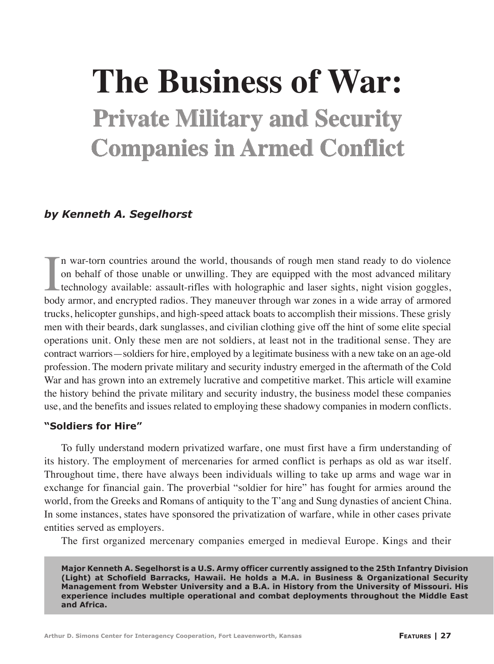# **The Business of War: Private Military and Security Companies in Armed Conflict**

## *by Kenneth A. Segelhorst*

In war-torn countries around the world, thousands of rough men stand ready to do violence<br>on behalf of those unable or unwilling. They are equipped with the most advanced military<br>technology available: assault-rifles with n war-torn countries around the world, thousands of rough men stand ready to do violence on behalf of those unable or unwilling. They are equipped with the most advanced military technology available: assault-rifles with holographic and laser sights, night vision goggles, trucks, helicopter gunships, and high-speed attack boats to accomplish their missions. These grisly men with their beards, dark sunglasses, and civilian clothing give off the hint of some elite special operations unit. Only these men are not soldiers, at least not in the traditional sense. They are contract warriors—soldiers for hire, employed by a legitimate business with a new take on an age-old profession. The modern private military and security industry emerged in the aftermath of the Cold War and has grown into an extremely lucrative and competitive market. This article will examine the history behind the private military and security industry, the business model these companies use, and the benefits and issues related to employing these shadowy companies in modern conflicts.

#### **"Soldiers for Hire"**

To fully understand modern privatized warfare, one must first have a firm understanding of its history. The employment of mercenaries for armed conflict is perhaps as old as war itself. Throughout time, there have always been individuals willing to take up arms and wage war in exchange for financial gain. The proverbial "soldier for hire" has fought for armies around the world, from the Greeks and Romans of antiquity to the T'ang and Sung dynasties of ancient China. In some instances, states have sponsored the privatization of warfare, while in other cases private entities served as employers.

The first organized mercenary companies emerged in medieval Europe. Kings and their

**Major Kenneth A. Segelhorst is a U.S. Army officer currently assigned to the 25th Infantry Division (Light) at Schofield Barracks, Hawaii. He holds a M.A. in Business & Organizational Security Management from Webster University and a B.A. in History from the University of Missouri. His experience includes multiple operational and combat deployments throughout the Middle East and Africa.**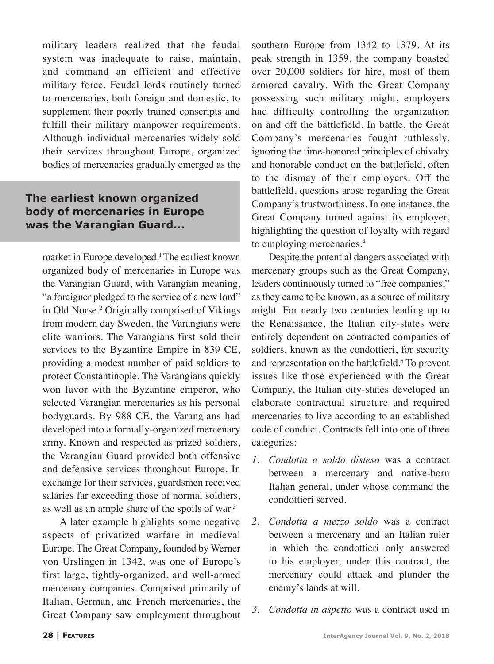military leaders realized that the feudal system was inadequate to raise, maintain, and command an efficient and effective military force. Feudal lords routinely turned to mercenaries, both foreign and domestic, to supplement their poorly trained conscripts and fulfill their military manpower requirements. Although individual mercenaries widely sold their services throughout Europe, organized bodies of mercenaries gradually emerged as the

## **The earliest known organized body of mercenaries in Europe was the Varangian Guard...**

market in Europe developed.1 The earliest known organized body of mercenaries in Europe was the Varangian Guard, with Varangian meaning, "a foreigner pledged to the service of a new lord" in Old Norse.2 Originally comprised of Vikings from modern day Sweden, the Varangians were elite warriors. The Varangians first sold their services to the Byzantine Empire in 839 CE, providing a modest number of paid soldiers to protect Constantinople. The Varangians quickly won favor with the Byzantine emperor, who selected Varangian mercenaries as his personal bodyguards. By 988 CE, the Varangians had developed into a formally-organized mercenary army. Known and respected as prized soldiers, the Varangian Guard provided both offensive and defensive services throughout Europe. In exchange for their services, guardsmen received salaries far exceeding those of normal soldiers, as well as an ample share of the spoils of war.3

A later example highlights some negative aspects of privatized warfare in medieval Europe. The Great Company, founded by Werner von Urslingen in 1342, was one of Europe's first large, tightly-organized, and well-armed mercenary companies. Comprised primarily of Italian, German, and French mercenaries, the Great Company saw employment throughout

southern Europe from 1342 to 1379. At its peak strength in 1359, the company boasted over 20,000 soldiers for hire, most of them armored cavalry. With the Great Company possessing such military might, employers had difficulty controlling the organization on and off the battlefield. In battle, the Great Company's mercenaries fought ruthlessly, ignoring the time-honored principles of chivalry and honorable conduct on the battlefield, often to the dismay of their employers. Off the battlefield, questions arose regarding the Great Company's trustworthiness. In one instance, the Great Company turned against its employer, highlighting the question of loyalty with regard to employing mercenaries.4

Despite the potential dangers associated with mercenary groups such as the Great Company, leaders continuously turned to "free companies," as they came to be known, as a source of military might. For nearly two centuries leading up to the Renaissance, the Italian city-states were entirely dependent on contracted companies of soldiers, known as the condottieri, for security and representation on the battlefield.<sup>5</sup> To prevent issues like those experienced with the Great Company, the Italian city-states developed an elaborate contractual structure and required mercenaries to live according to an established code of conduct. Contracts fell into one of three categories:

- *1. Condotta a soldo disteso* was a contract between a mercenary and native-born Italian general, under whose command the condottieri served.
- *2. Condotta a mezzo soldo* was a contract between a mercenary and an Italian ruler in which the condottieri only answered to his employer; under this contract, the mercenary could attack and plunder the enemy's lands at will.
- *3. Condotta in aspetto* was a contract used in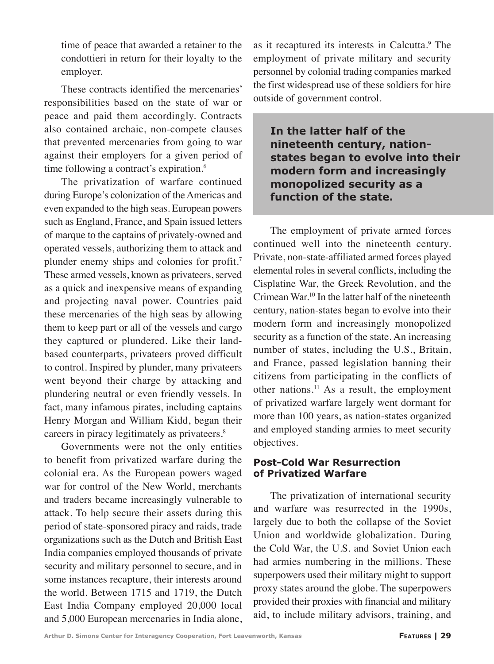time of peace that awarded a retainer to the condottieri in return for their loyalty to the employer.

These contracts identified the mercenaries' responsibilities based on the state of war or peace and paid them accordingly. Contracts also contained archaic, non-compete clauses that prevented mercenaries from going to war against their employers for a given period of time following a contract's expiration.<sup>6</sup>

The privatization of warfare continued during Europe's colonization of the Americas and even expanded to the high seas. European powers such as England, France, and Spain issued letters of marque to the captains of privately-owned and operated vessels, authorizing them to attack and plunder enemy ships and colonies for profit.<sup>7</sup> These armed vessels, known as privateers, served as a quick and inexpensive means of expanding and projecting naval power. Countries paid these mercenaries of the high seas by allowing them to keep part or all of the vessels and cargo they captured or plundered. Like their landbased counterparts, privateers proved difficult to control. Inspired by plunder, many privateers went beyond their charge by attacking and plundering neutral or even friendly vessels. In fact, many infamous pirates, including captains Henry Morgan and William Kidd, began their careers in piracy legitimately as privateers.8

Governments were not the only entities to benefit from privatized warfare during the colonial era. As the European powers waged war for control of the New World, merchants and traders became increasingly vulnerable to attack. To help secure their assets during this period of state-sponsored piracy and raids, trade organizations such as the Dutch and British East India companies employed thousands of private security and military personnel to secure, and in some instances recapture, their interests around the world. Between 1715 and 1719, the Dutch East India Company employed 20,000 local and 5,000 European mercenaries in India alone,

as it recaptured its interests in Calcutta.<sup>9</sup> The employment of private military and security personnel by colonial trading companies marked the first widespread use of these soldiers for hire outside of government control.

**In the latter half of the nineteenth century, nationstates began to evolve into their modern form and increasingly monopolized security as a function of the state.**

The employment of private armed forces continued well into the nineteenth century. Private, non-state-affiliated armed forces played elemental roles in several conflicts, including the Cisplatine War, the Greek Revolution, and the Crimean War.10 In the latter half of the nineteenth century, nation-states began to evolve into their modern form and increasingly monopolized security as a function of the state. An increasing number of states, including the U.S., Britain, and France, passed legislation banning their citizens from participating in the conflicts of other nations.11 As a result, the employment of privatized warfare largely went dormant for more than 100 years, as nation-states organized and employed standing armies to meet security objectives.

#### **Post-Cold War Resurrection of Privatized Warfare**

The privatization of international security and warfare was resurrected in the 1990s, largely due to both the collapse of the Soviet Union and worldwide globalization. During the Cold War, the U.S. and Soviet Union each had armies numbering in the millions. These superpowers used their military might to support proxy states around the globe. The superpowers provided their proxies with financial and military aid, to include military advisors, training, and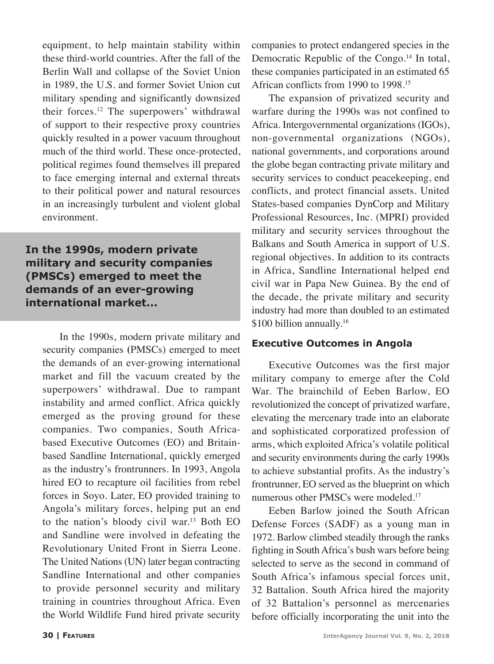equipment, to help maintain stability within these third-world countries. After the fall of the Berlin Wall and collapse of the Soviet Union in 1989, the U.S. and former Soviet Union cut military spending and significantly downsized their forces.12 The superpowers' withdrawal of support to their respective proxy countries quickly resulted in a power vacuum throughout much of the third world. These once-protected, political regimes found themselves ill prepared to face emerging internal and external threats to their political power and natural resources in an increasingly turbulent and violent global environment.

# **In the 1990s, modern private military and security companies (PMSCs) emerged to meet the demands of an ever-growing international market...**

In the 1990s, modern private military and security companies **(**PMSCs) emerged to meet the demands of an ever-growing international market and fill the vacuum created by the superpowers' withdrawal. Due to rampant instability and armed conflict. Africa quickly emerged as the proving ground for these companies. Two companies, South Africabased Executive Outcomes (EO) and Britainbased Sandline International, quickly emerged as the industry's frontrunners. In 1993, Angola hired EO to recapture oil facilities from rebel forces in Soyo. Later, EO provided training to Angola's military forces, helping put an end to the nation's bloody civil war.13 Both EO and Sandline were involved in defeating the Revolutionary United Front in Sierra Leone. The United Nations (UN) later began contracting Sandline International and other companies to provide personnel security and military training in countries throughout Africa. Even the World Wildlife Fund hired private security companies to protect endangered species in the Democratic Republic of the Congo.<sup>14</sup> In total, these companies participated in an estimated 65 African conflicts from 1990 to 1998.15

The expansion of privatized security and warfare during the 1990s was not confined to Africa. Intergovernmental organizations (IGOs), non-governmental organizations (NGOs), national governments, and corporations around the globe began contracting private military and security services to conduct peacekeeping, end conflicts, and protect financial assets. United States-based companies DynCorp and Military Professional Resources, Inc. (MPRI) provided military and security services throughout the Balkans and South America in support of U.S. regional objectives. In addition to its contracts in Africa, Sandline International helped end civil war in Papa New Guinea. By the end of the decade, the private military and security industry had more than doubled to an estimated \$100 billion annually.<sup>16</sup>

## **Executive Outcomes in Angola**

Executive Outcomes was the first major military company to emerge after the Cold War. The brainchild of Eeben Barlow, EO revolutionized the concept of privatized warfare, elevating the mercenary trade into an elaborate and sophisticated corporatized profession of arms, which exploited Africa's volatile political and security environments during the early 1990s to achieve substantial profits. As the industry's frontrunner, EO served as the blueprint on which numerous other PMSCs were modeled.<sup>17</sup>

Eeben Barlow joined the South African Defense Forces (SADF) as a young man in 1972. Barlow climbed steadily through the ranks fighting in South Africa's bush wars before being selected to serve as the second in command of South Africa's infamous special forces unit, 32 Battalion. South Africa hired the majority of 32 Battalion's personnel as mercenaries before officially incorporating the unit into the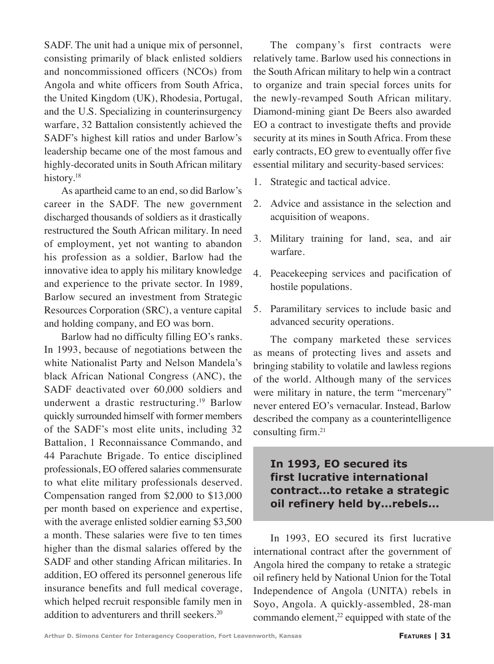SADF. The unit had a unique mix of personnel, consisting primarily of black enlisted soldiers and noncommissioned officers (NCOs) from Angola and white officers from South Africa, the United Kingdom (UK), Rhodesia, Portugal, and the U.S. Specializing in counterinsurgency warfare, 32 Battalion consistently achieved the SADF's highest kill ratios and under Barlow's leadership became one of the most famous and highly-decorated units in South African military history.<sup>18</sup>

As apartheid came to an end, so did Barlow's career in the SADF. The new government discharged thousands of soldiers as it drastically restructured the South African military. In need of employment, yet not wanting to abandon his profession as a soldier, Barlow had the innovative idea to apply his military knowledge and experience to the private sector. In 1989, Barlow secured an investment from Strategic Resources Corporation (SRC), a venture capital and holding company, and EO was born.

Barlow had no difficulty filling EO's ranks. In 1993, because of negotiations between the white Nationalist Party and Nelson Mandela's black African National Congress (ANC), the SADF deactivated over 60,000 soldiers and underwent a drastic restructuring.<sup>19</sup> Barlow quickly surrounded himself with former members of the SADF's most elite units, including 32 Battalion, 1 Reconnaissance Commando, and 44 Parachute Brigade. To entice disciplined professionals, EO offered salaries commensurate to what elite military professionals deserved. Compensation ranged from \$2,000 to \$13,000 per month based on experience and expertise, with the average enlisted soldier earning \$3,500 a month. These salaries were five to ten times higher than the dismal salaries offered by the SADF and other standing African militaries. In addition, EO offered its personnel generous life insurance benefits and full medical coverage, which helped recruit responsible family men in addition to adventurers and thrill seekers.<sup>20</sup>

The company's first contracts were relatively tame. Barlow used his connections in the South African military to help win a contract to organize and train special forces units for the newly-revamped South African military. Diamond-mining giant De Beers also awarded EO a contract to investigate thefts and provide security at its mines in South Africa. From these early contracts, EO grew to eventually offer five essential military and security-based services:

- 1. Strategic and tactical advice.
- 2. Advice and assistance in the selection and acquisition of weapons.
- 3. Military training for land, sea, and air warfare.
- 4. Peacekeeping services and pacification of hostile populations.
- 5. Paramilitary services to include basic and advanced security operations.

The company marketed these services as means of protecting lives and assets and bringing stability to volatile and lawless regions of the world. Although many of the services were military in nature, the term "mercenary" never entered EO's vernacular. Instead, Barlow described the company as a counterintelligence consulting firm.21

## **In 1993, EO secured its first lucrative international contract...to retake a strategic oil refinery held by...rebels...**

In 1993, EO secured its first lucrative international contract after the government of Angola hired the company to retake a strategic oil refinery held by National Union for the Total Independence of Angola (UNITA) rebels in Soyo, Angola. A quickly-assembled, 28-man commando element, $2<sup>2</sup>$  equipped with state of the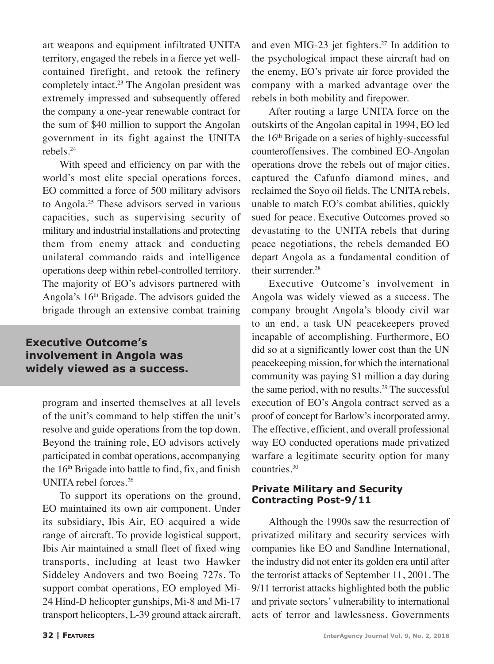art weapons and equipment infiltrated UNITA territory, engaged the rebels in a fierce yet wellcontained firefight, and retook the refinery completely intact.<sup>23</sup> The Angolan president was extremely impressed and subsequently offered the company a one-year renewable contract for the sum of \$40 million to support the Angolan government in its fight against the UNITA rebels.24

With speed and efficiency on par with the world's most elite special operations forces, EO committed a force of 500 military advisors to Angola.25 These advisors served in various capacities, such as supervising security of military and industrial installations and protecting them from enemy attack and conducting unilateral commando raids and intelligence operations deep within rebel-controlled territory. The majority of EO's advisors partnered with Angola's 16<sup>th</sup> Brigade. The advisors guided the brigade through an extensive combat training

## **Executive Outcome's involvement in Angola was widely viewed as a success.**

program and inserted themselves at all levels of the unit's command to help stiffen the unit's resolve and guide operations from the top down. Beyond the training role, EO advisors actively participated in combat operations, accompanying the  $16<sup>th</sup>$  Brigade into battle to find, fix, and finish UNITA rebel forces.26

To support its operations on the ground, EO maintained its own air component. Under its subsidiary, Ibis Air, EO acquired a wide range of aircraft. To provide logistical support, Ibis Air maintained a small fleet of fixed wing transports, including at least two Hawker Siddeley Andovers and two Boeing 727s. To support combat operations, EO employed Mi-24 Hind-D helicopter gunships, Mi-8 and Mi-17 transport helicopters, L-39 ground attack aircraft,

and even MIG-23 jet fighters.<sup>27</sup> In addition to the psychological impact these aircraft had on the enemy, EO's private air force provided the company with a marked advantage over the rebels in both mobility and firepower.

After routing a large UNITA force on the outskirts of the Angolan capital in 1994, EO led the  $16<sup>th</sup>$  Brigade on a series of highly-successful counteroffensives. The combined EO-Angolan operations drove the rebels out of major cities, captured the Cafunfo diamond mines, and reclaimed the Soyo oil fields. The UNITA rebels, unable to match EO's combat abilities, quickly sued for peace. Executive Outcomes proved so devastating to the UNITA rebels that during peace negotiations, the rebels demanded EO depart Angola as a fundamental condition of their surrender.<sup>28</sup>

Executive Outcome's involvement in Angola was widely viewed as a success. The company brought Angola's bloody civil war to an end, a task UN peacekeepers proved incapable of accomplishing. Furthermore, EO did so at a significantly lower cost than the UN peacekeeping mission, for which the international community was paying \$1 million a day during the same period, with no results.<sup>29</sup> The successful execution of EO's Angola contract served as a proof of concept for Barlow's incorporated army. The effective, efficient, and overall professional way EO conducted operations made privatized warfare a legitimate security option for many countries.30

#### **Private Military and Security Contracting Post-9/11**

Although the 1990s saw the resurrection of privatized military and security services with companies like EO and Sandline International, the industry did not enter its golden era until after the terrorist attacks of September 11, 2001. The 9/11 terrorist attacks highlighted both the public and private sectors' vulnerability to international acts of terror and lawlessness. Governments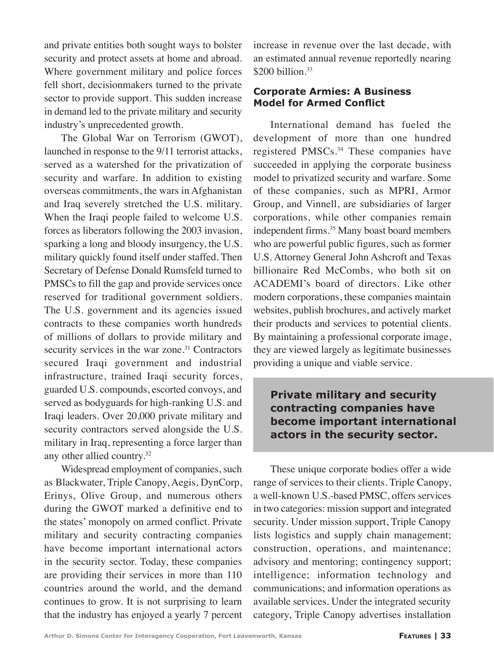and private entities both sought ways to bolster security and protect assets at home and abroad. Where government military and police forces fell short, decisionmakers turned to the private sector to provide support. This sudden increase in demand led to the private military and security industry's unprecedented growth.

The Global War on Terrorism (GWOT), launched in response to the 9/11 terrorist attacks, served as a watershed for the privatization of security and warfare. In addition to existing overseas commitments, the wars in Afghanistan and Iraq severely stretched the U.S. military. When the Iraqi people failed to welcome U.S. forces as liberators following the 2003 invasion, sparking a long and bloody insurgency, the U.S. military quickly found itself under staffed. Then Secretary of Defense Donald Rumsfeld turned to PMSCs to fill the gap and provide services once reserved for traditional government soldiers. The U.S. government and its agencies issued contracts to these companies worth hundreds of millions of dollars to provide military and security services in the war zone.<sup>31</sup> Contractors secured Iraqi government and industrial infrastructure, trained Iraqi security forces, guarded U.S. compounds, escorted convoys, and served as bodyguards for high-ranking U.S. and Iraqi leaders. Over 20,000 private military and security contractors served alongside the U.S. military in Iraq, representing a force larger than any other allied country.<sup>32</sup>

Widespread employment of companies, such as Blackwater, Triple Canopy, Aegis, DynCorp, Erinys, Olive Group, and numerous others during the GWOT marked a definitive end to the states' monopoly on armed conflict. Private military and security contracting companies have become important international actors in the security sector. Today, these companies are providing their services in more than 110 countries around the world, and the demand continues to grow. It is not surprising to learn that the industry has enjoyed a yearly 7 percent

increase in revenue over the last decade, with an estimated annual revenue reportedly nearing \$200 billion.<sup>33</sup>

#### **Corporate Armies: A Business Model for Armed Conflict**

International demand has fueled the development of more than one hundred registered PMSCs.34 These companies have succeeded in applying the corporate business model to privatized security and warfare. Some of these companies, such as MPRI, Armor Group, and Vinnell, are subsidiaries of larger corporations, while other companies remain independent firms.<sup>35</sup> Many boast board members who are powerful public figures, such as former U.S. Attorney General John Ashcroft and Texas billionaire Red McCombs, who both sit on ACADEMI's board of directors. Like other modern corporations, these companies maintain websites, publish brochures, and actively market their products and services to potential clients. By maintaining a professional corporate image, they are viewed largely as legitimate businesses providing a unique and viable service.

**Private military and security contracting companies have become important international actors in the security sector.**

These unique corporate bodies offer a wide range of services to their clients. Triple Canopy, a well-known U.S.-based PMSC, offers services in two categories: mission support and integrated security. Under mission support, Triple Canopy lists logistics and supply chain management; construction, operations, and maintenance; advisory and mentoring; contingency support; intelligence; information technology and communications; and information operations as available services. Under the integrated security category, Triple Canopy advertises installation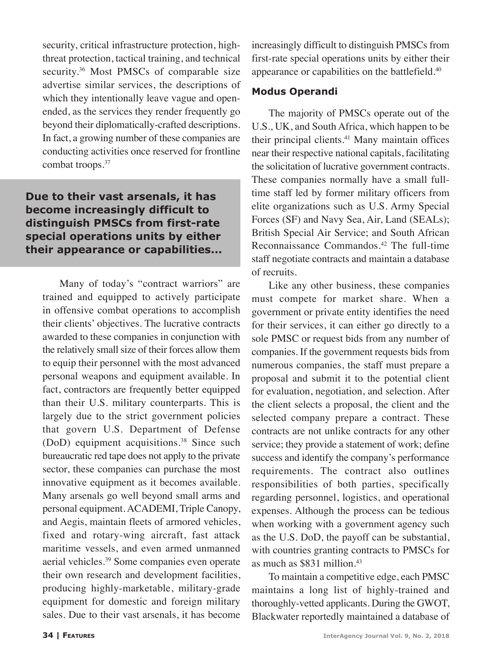security, critical infrastructure protection, highthreat protection, tactical training, and technical security.<sup>36</sup> Most PMSCs of comparable size advertise similar services, the descriptions of which they intentionally leave vague and openended, as the services they render frequently go beyond their diplomatically-crafted descriptions. In fact, a growing number of these companies are conducting activities once reserved for frontline combat troops.<sup>37</sup>

# **Due to their vast arsenals, it has become increasingly difficult to distinguish PMSCs from first-rate special operations units by either their appearance or capabilities...**

Many of today's "contract warriors" are trained and equipped to actively participate in offensive combat operations to accomplish their clients' objectives. The lucrative contracts awarded to these companies in conjunction with the relatively small size of their forces allow them to equip their personnel with the most advanced personal weapons and equipment available. In fact, contractors are frequently better equipped than their U.S. military counterparts. This is largely due to the strict government policies that govern U.S. Department of Defense (DoD) equipment acquisitions.<sup>38</sup> Since such bureaucratic red tape does not apply to the private sector, these companies can purchase the most innovative equipment as it becomes available. Many arsenals go well beyond small arms and personal equipment. ACADEMI, Triple Canopy, and Aegis, maintain fleets of armored vehicles, fixed and rotary-wing aircraft, fast attack maritime vessels, and even armed unmanned aerial vehicles.<sup>39</sup> Some companies even operate their own research and development facilities, producing highly-marketable, military-grade equipment for domestic and foreign military sales. Due to their vast arsenals, it has become increasingly difficult to distinguish PMSCs from first-rate special operations units by either their appearance or capabilities on the battlefield.<sup>40</sup>

#### **Modus Operandi**

The majority of PMSCs operate out of the U.S., UK, and South Africa, which happen to be their principal clients.<sup>41</sup> Many maintain offices near their respective national capitals, facilitating the solicitation of lucrative government contracts. These companies normally have a small fulltime staff led by former military officers from elite organizations such as U.S. Army Special Forces (SF) and Navy Sea, Air, Land (SEALs); British Special Air Service; and South African Reconnaissance Commandos.<sup>42</sup> The full-time staff negotiate contracts and maintain a database of recruits.

Like any other business, these companies must compete for market share. When a government or private entity identifies the need for their services, it can either go directly to a sole PMSC or request bids from any number of companies. If the government requests bids from numerous companies, the staff must prepare a proposal and submit it to the potential client for evaluation, negotiation, and selection. After the client selects a proposal, the client and the selected company prepare a contract. These contracts are not unlike contracts for any other service; they provide a statement of work; define success and identify the company's performance requirements. The contract also outlines responsibilities of both parties, specifically regarding personnel, logistics, and operational expenses. Although the process can be tedious when working with a government agency such as the U.S. DoD, the payoff can be substantial, with countries granting contracts to PMSCs for as much as \$831 million.43

To maintain a competitive edge, each PMSC maintains a long list of highly-trained and thoroughly-vetted applicants. During the GWOT, Blackwater reportedly maintained a database of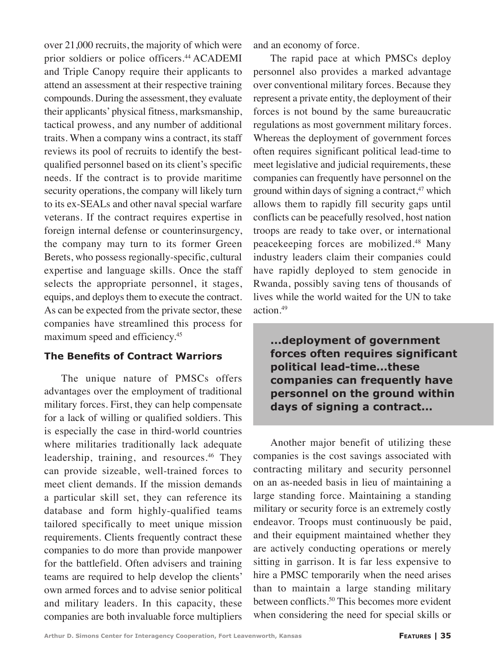over 21,000 recruits, the majority of which were prior soldiers or police officers.<sup>44</sup> ACADEMI and Triple Canopy require their applicants to attend an assessment at their respective training compounds. During the assessment, they evaluate their applicants' physical fitness, marksmanship, tactical prowess, and any number of additional traits. When a company wins a contract, its staff reviews its pool of recruits to identify the bestqualified personnel based on its client's specific needs. If the contract is to provide maritime security operations, the company will likely turn to its ex-SEALs and other naval special warfare veterans. If the contract requires expertise in foreign internal defense or counterinsurgency, the company may turn to its former Green Berets, who possess regionally-specific, cultural expertise and language skills. Once the staff selects the appropriate personnel, it stages, equips, and deploys them to execute the contract. As can be expected from the private sector, these companies have streamlined this process for maximum speed and efficiency.<sup>45</sup>

## **The Benefits of Contract Warriors**

The unique nature of PMSCs offers advantages over the employment of traditional military forces. First, they can help compensate for a lack of willing or qualified soldiers. This is especially the case in third-world countries where militaries traditionally lack adequate leadership, training, and resources.<sup>46</sup> They can provide sizeable, well-trained forces to meet client demands. If the mission demands a particular skill set, they can reference its database and form highly-qualified teams tailored specifically to meet unique mission requirements. Clients frequently contract these companies to do more than provide manpower for the battlefield. Often advisers and training teams are required to help develop the clients' own armed forces and to advise senior political and military leaders. In this capacity, these companies are both invaluable force multipliers

and an economy of force.

The rapid pace at which PMSCs deploy personnel also provides a marked advantage over conventional military forces. Because they represent a private entity, the deployment of their forces is not bound by the same bureaucratic regulations as most government military forces. Whereas the deployment of government forces often requires significant political lead-time to meet legislative and judicial requirements, these companies can frequently have personnel on the ground within days of signing a contract, $47$  which allows them to rapidly fill security gaps until conflicts can be peacefully resolved, host nation troops are ready to take over, or international peacekeeping forces are mobilized.<sup>48</sup> Many industry leaders claim their companies could have rapidly deployed to stem genocide in Rwanda, possibly saving tens of thousands of lives while the world waited for the UN to take action.49

**...deployment of government forces often requires significant political lead-time...these companies can frequently have personnel on the ground within days of signing a contract...**

Another major benefit of utilizing these companies is the cost savings associated with contracting military and security personnel on an as-needed basis in lieu of maintaining a large standing force. Maintaining a standing military or security force is an extremely costly endeavor. Troops must continuously be paid, and their equipment maintained whether they are actively conducting operations or merely sitting in garrison. It is far less expensive to hire a PMSC temporarily when the need arises than to maintain a large standing military between conflicts.<sup>50</sup> This becomes more evident when considering the need for special skills or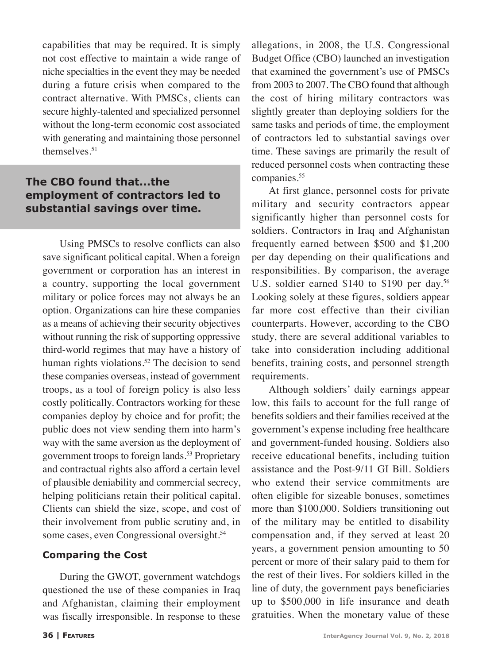capabilities that may be required. It is simply not cost effective to maintain a wide range of niche specialties in the event they may be needed during a future crisis when compared to the contract alternative. With PMSCs, clients can secure highly-talented and specialized personnel without the long-term economic cost associated with generating and maintaining those personnel themselves.<sup>51</sup>

## **The CBO found that...the employment of contractors led to substantial savings over time.**

Using PMSCs to resolve conflicts can also save significant political capital. When a foreign government or corporation has an interest in a country, supporting the local government military or police forces may not always be an option. Organizations can hire these companies as a means of achieving their security objectives without running the risk of supporting oppressive third-world regimes that may have a history of human rights violations.<sup>52</sup> The decision to send these companies overseas, instead of government troops, as a tool of foreign policy is also less costly politically. Contractors working for these companies deploy by choice and for profit; the public does not view sending them into harm's way with the same aversion as the deployment of government troops to foreign lands.<sup>53</sup> Proprietary and contractual rights also afford a certain level of plausible deniability and commercial secrecy, helping politicians retain their political capital. Clients can shield the size, scope, and cost of their involvement from public scrutiny and, in some cases, even Congressional oversight.<sup>54</sup>

#### **Comparing the Cost**

During the GWOT, government watchdogs questioned the use of these companies in Iraq and Afghanistan, claiming their employment was fiscally irresponsible. In response to these allegations, in 2008, the U.S. Congressional Budget Office (CBO) launched an investigation that examined the government's use of PMSCs from 2003 to 2007. The CBO found that although the cost of hiring military contractors was slightly greater than deploying soldiers for the same tasks and periods of time, the employment of contractors led to substantial savings over time. These savings are primarily the result of reduced personnel costs when contracting these companies.<sup>55</sup>

At first glance, personnel costs for private military and security contractors appear significantly higher than personnel costs for soldiers. Contractors in Iraq and Afghanistan frequently earned between \$500 and \$1,200 per day depending on their qualifications and responsibilities. By comparison, the average U.S. soldier earned \$140 to \$190 per day.<sup>56</sup> Looking solely at these figures, soldiers appear far more cost effective than their civilian counterparts. However, according to the CBO study, there are several additional variables to take into consideration including additional benefits, training costs, and personnel strength requirements.

Although soldiers' daily earnings appear low, this fails to account for the full range of benefits soldiers and their families received at the government's expense including free healthcare and government-funded housing. Soldiers also receive educational benefits, including tuition assistance and the Post-9/11 GI Bill. Soldiers who extend their service commitments are often eligible for sizeable bonuses, sometimes more than \$100,000. Soldiers transitioning out of the military may be entitled to disability compensation and, if they served at least 20 years, a government pension amounting to 50 percent or more of their salary paid to them for the rest of their lives. For soldiers killed in the line of duty, the government pays beneficiaries up to \$500,000 in life insurance and death gratuities. When the monetary value of these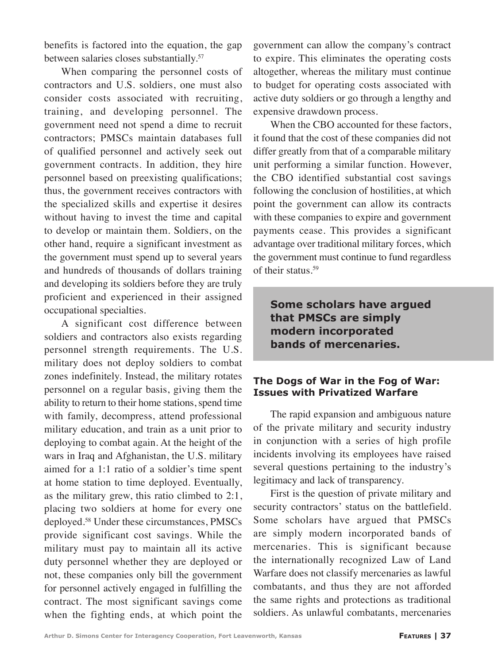benefits is factored into the equation, the gap between salaries closes substantially.<sup>57</sup>

When comparing the personnel costs of contractors and U.S. soldiers, one must also consider costs associated with recruiting, training, and developing personnel. The government need not spend a dime to recruit contractors; PMSCs maintain databases full of qualified personnel and actively seek out government contracts. In addition, they hire personnel based on preexisting qualifications; thus, the government receives contractors with the specialized skills and expertise it desires without having to invest the time and capital to develop or maintain them. Soldiers, on the other hand, require a significant investment as the government must spend up to several years and hundreds of thousands of dollars training and developing its soldiers before they are truly proficient and experienced in their assigned occupational specialties.

A significant cost difference between soldiers and contractors also exists regarding personnel strength requirements. The U.S. military does not deploy soldiers to combat zones indefinitely. Instead, the military rotates personnel on a regular basis, giving them the ability to return to their home stations, spend time with family, decompress, attend professional military education, and train as a unit prior to deploying to combat again. At the height of the wars in Iraq and Afghanistan, the U.S. military aimed for a 1:1 ratio of a soldier's time spent at home station to time deployed. Eventually, as the military grew, this ratio climbed to 2:1, placing two soldiers at home for every one deployed.58 Under these circumstances, PMSCs provide significant cost savings. While the military must pay to maintain all its active duty personnel whether they are deployed or not, these companies only bill the government for personnel actively engaged in fulfilling the contract. The most significant savings come when the fighting ends, at which point the

government can allow the company's contract to expire. This eliminates the operating costs altogether, whereas the military must continue to budget for operating costs associated with active duty soldiers or go through a lengthy and expensive drawdown process.

When the CBO accounted for these factors, it found that the cost of these companies did not differ greatly from that of a comparable military unit performing a similar function. However, the CBO identified substantial cost savings following the conclusion of hostilities, at which point the government can allow its contracts with these companies to expire and government payments cease. This provides a significant advantage over traditional military forces, which the government must continue to fund regardless of their status.<sup>59</sup>

**Some scholars have argued that PMSCs are simply modern incorporated bands of mercenaries.**

#### **The Dogs of War in the Fog of War: Issues with Privatized Warfare**

The rapid expansion and ambiguous nature of the private military and security industry in conjunction with a series of high profile incidents involving its employees have raised several questions pertaining to the industry's legitimacy and lack of transparency.

First is the question of private military and security contractors' status on the battlefield. Some scholars have argued that PMSCs are simply modern incorporated bands of mercenaries. This is significant because the internationally recognized Law of Land Warfare does not classify mercenaries as lawful combatants, and thus they are not afforded the same rights and protections as traditional soldiers. As unlawful combatants, mercenaries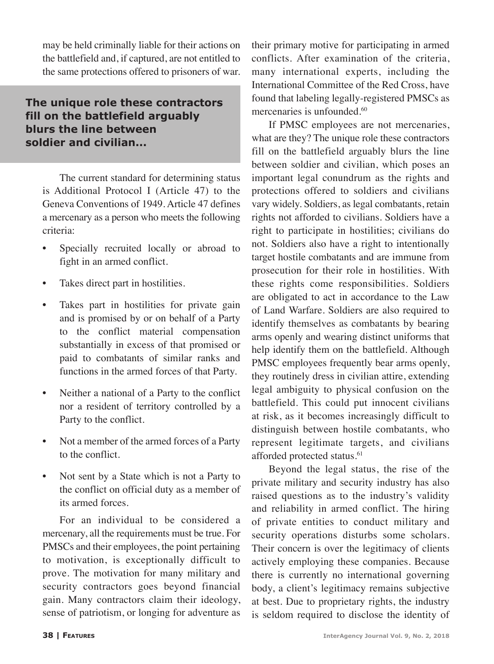may be held criminally liable for their actions on the battlefield and, if captured, are not entitled to the same protections offered to prisoners of war.

## **The unique role these contractors fill on the battlefield arguably blurs the line between soldier and civilian...**

The current standard for determining status is Additional Protocol I (Article 47) to the Geneva Conventions of 1949. Article 47 defines a mercenary as a person who meets the following criteria:

- Specially recruited locally or abroad to fight in an armed conflict.
- Takes direct part in hostilities.
- Takes part in hostilities for private gain and is promised by or on behalf of a Party to the conflict material compensation substantially in excess of that promised or paid to combatants of similar ranks and functions in the armed forces of that Party.
- Neither a national of a Party to the conflict nor a resident of territory controlled by a Party to the conflict.
- Not a member of the armed forces of a Party to the conflict.
- Not sent by a State which is not a Party to the conflict on official duty as a member of its armed forces.

For an individual to be considered a mercenary, all the requirements must be true. For PMSCs and their employees, the point pertaining to motivation, is exceptionally difficult to prove. The motivation for many military and security contractors goes beyond financial gain. Many contractors claim their ideology, sense of patriotism, or longing for adventure as their primary motive for participating in armed conflicts. After examination of the criteria, many international experts, including the International Committee of the Red Cross, have found that labeling legally-registered PMSCs as mercenaries is unfounded.<sup>60</sup>

If PMSC employees are not mercenaries, what are they? The unique role these contractors fill on the battlefield arguably blurs the line between soldier and civilian, which poses an important legal conundrum as the rights and protections offered to soldiers and civilians vary widely. Soldiers, as legal combatants, retain rights not afforded to civilians. Soldiers have a right to participate in hostilities; civilians do not. Soldiers also have a right to intentionally target hostile combatants and are immune from prosecution for their role in hostilities. With these rights come responsibilities. Soldiers are obligated to act in accordance to the Law of Land Warfare. Soldiers are also required to identify themselves as combatants by bearing arms openly and wearing distinct uniforms that help identify them on the battlefield. Although PMSC employees frequently bear arms openly, they routinely dress in civilian attire, extending legal ambiguity to physical confusion on the battlefield. This could put innocent civilians at risk, as it becomes increasingly difficult to distinguish between hostile combatants, who represent legitimate targets, and civilians afforded protected status.<sup>61</sup>

Beyond the legal status, the rise of the private military and security industry has also raised questions as to the industry's validity and reliability in armed conflict. The hiring of private entities to conduct military and security operations disturbs some scholars. Their concern is over the legitimacy of clients actively employing these companies. Because there is currently no international governing body, a client's legitimacy remains subjective at best. Due to proprietary rights, the industry is seldom required to disclose the identity of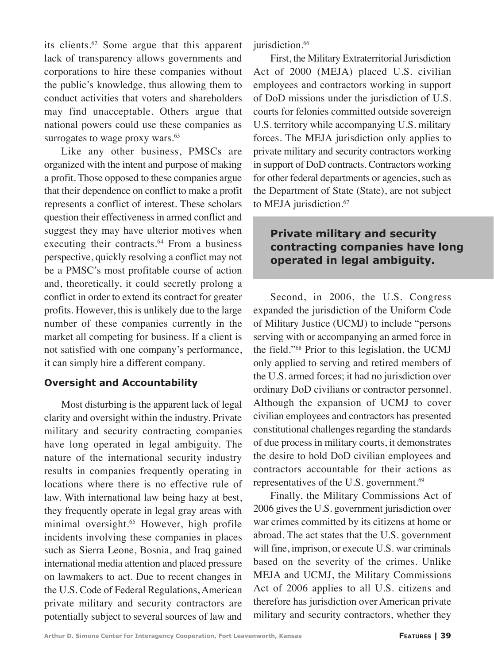its clients.<sup>62</sup> Some argue that this apparent lack of transparency allows governments and corporations to hire these companies without the public's knowledge, thus allowing them to conduct activities that voters and shareholders may find unacceptable. Others argue that national powers could use these companies as surrogates to wage proxy wars. $63$ 

Like any other business, PMSCs are organized with the intent and purpose of making a profit. Those opposed to these companies argue that their dependence on conflict to make a profit represents a conflict of interest. These scholars question their effectiveness in armed conflict and suggest they may have ulterior motives when executing their contracts.<sup>64</sup> From a business perspective, quickly resolving a conflict may not be a PMSC's most profitable course of action and, theoretically, it could secretly prolong a conflict in order to extend its contract for greater profits. However, this is unlikely due to the large number of these companies currently in the market all competing for business. If a client is not satisfied with one company's performance, it can simply hire a different company.

#### **Oversight and Accountability**

Most disturbing is the apparent lack of legal clarity and oversight within the industry. Private military and security contracting companies have long operated in legal ambiguity. The nature of the international security industry results in companies frequently operating in locations where there is no effective rule of law. With international law being hazy at best, they frequently operate in legal gray areas with minimal oversight.65 However, high profile incidents involving these companies in places such as Sierra Leone, Bosnia, and Iraq gained international media attention and placed pressure on lawmakers to act. Due to recent changes in the U.S. Code of Federal Regulations, American private military and security contractors are potentially subject to several sources of law and

jurisdiction.<sup>66</sup>

First, the Military Extraterritorial Jurisdiction Act of 2000 (MEJA) placed U.S. civilian employees and contractors working in support of DoD missions under the jurisdiction of U.S. courts for felonies committed outside sovereign U.S. territory while accompanying U.S. military forces. The MEJA jurisdiction only applies to private military and security contractors working in support of DoD contracts. Contractors working for other federal departments or agencies, such as the Department of State (State), are not subject to MEJA jurisdiction.<sup>67</sup>

## **Private military and security contracting companies have long operated in legal ambiguity.**

Second, in 2006, the U.S. Congress expanded the jurisdiction of the Uniform Code of Military Justice (UCMJ) to include "persons serving with or accompanying an armed force in the field."68 Prior to this legislation, the UCMJ only applied to serving and retired members of the U.S. armed forces; it had no jurisdiction over ordinary DoD civilians or contractor personnel. Although the expansion of UCMJ to cover civilian employees and contractors has presented constitutional challenges regarding the standards of due process in military courts, it demonstrates the desire to hold DoD civilian employees and contractors accountable for their actions as representatives of the U.S. government.<sup>69</sup>

Finally, the Military Commissions Act of 2006 gives the U.S. government jurisdiction over war crimes committed by its citizens at home or abroad. The act states that the U.S. government will fine, imprison, or execute U.S. war criminals based on the severity of the crimes. Unlike MEJA and UCMJ, the Military Commissions Act of 2006 applies to all U.S. citizens and therefore has jurisdiction over American private military and security contractors, whether they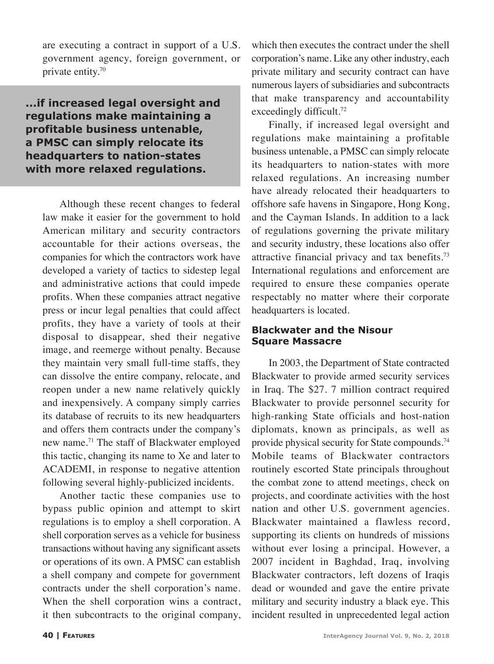are executing a contract in support of a U.S. government agency, foreign government, or private entity.70

**...if increased legal oversight and regulations make maintaining a profitable business untenable, a PMSC can simply relocate its headquarters to nation-states with more relaxed regulations.**

Although these recent changes to federal law make it easier for the government to hold American military and security contractors accountable for their actions overseas, the companies for which the contractors work have developed a variety of tactics to sidestep legal and administrative actions that could impede profits. When these companies attract negative press or incur legal penalties that could affect profits, they have a variety of tools at their disposal to disappear, shed their negative image, and reemerge without penalty. Because they maintain very small full-time staffs, they can dissolve the entire company, relocate, and reopen under a new name relatively quickly and inexpensively. A company simply carries its database of recruits to its new headquarters and offers them contracts under the company's new name.71 The staff of Blackwater employed this tactic, changing its name to Xe and later to ACADEMI, in response to negative attention following several highly-publicized incidents.

Another tactic these companies use to bypass public opinion and attempt to skirt regulations is to employ a shell corporation. A shell corporation serves as a vehicle for business transactions without having any significant assets or operations of its own. A PMSC can establish a shell company and compete for government contracts under the shell corporation's name. When the shell corporation wins a contract, it then subcontracts to the original company,

which then executes the contract under the shell corporation's name. Like any other industry, each private military and security contract can have numerous layers of subsidiaries and subcontracts that make transparency and accountability exceedingly difficult.<sup>72</sup>

Finally, if increased legal oversight and regulations make maintaining a profitable business untenable, a PMSC can simply relocate its headquarters to nation-states with more relaxed regulations. An increasing number have already relocated their headquarters to offshore safe havens in Singapore, Hong Kong, and the Cayman Islands. In addition to a lack of regulations governing the private military and security industry, these locations also offer attractive financial privacy and tax benefits.73 International regulations and enforcement are required to ensure these companies operate respectably no matter where their corporate headquarters is located.

#### **Blackwater and the Nisour Square Massacre**

In 2003, the Department of State contracted Blackwater to provide armed security services in Iraq. The \$27. 7 million contract required Blackwater to provide personnel security for high-ranking State officials and host-nation diplomats, known as principals, as well as provide physical security for State compounds.<sup>74</sup> Mobile teams of Blackwater contractors routinely escorted State principals throughout the combat zone to attend meetings, check on projects, and coordinate activities with the host nation and other U.S. government agencies. Blackwater maintained a flawless record, supporting its clients on hundreds of missions without ever losing a principal. However, a 2007 incident in Baghdad, Iraq, involving Blackwater contractors, left dozens of Iraqis dead or wounded and gave the entire private military and security industry a black eye. This incident resulted in unprecedented legal action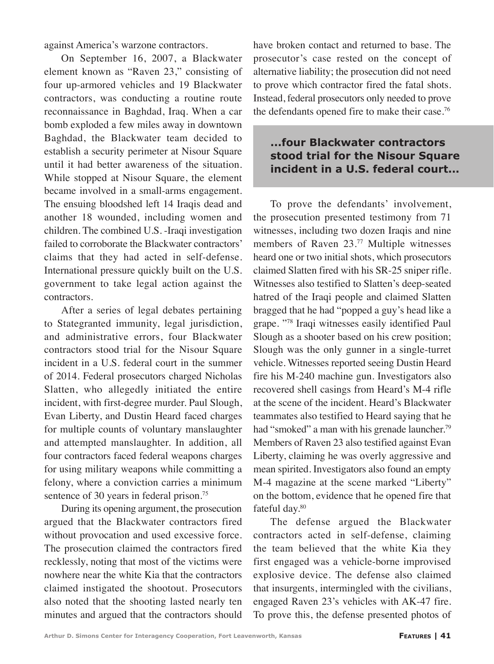against America's warzone contractors.

On September 16, 2007, a Blackwater element known as "Raven 23," consisting of four up-armored vehicles and 19 Blackwater contractors, was conducting a routine route reconnaissance in Baghdad, Iraq. When a car bomb exploded a few miles away in downtown Baghdad, the Blackwater team decided to establish a security perimeter at Nisour Square until it had better awareness of the situation. While stopped at Nisour Square, the element became involved in a small-arms engagement. The ensuing bloodshed left 14 Iraqis dead and another 18 wounded, including women and children. The combined U.S. -Iraqi investigation failed to corroborate the Blackwater contractors' claims that they had acted in self-defense. International pressure quickly built on the U.S. government to take legal action against the contractors.

After a series of legal debates pertaining to Stategranted immunity, legal jurisdiction, and administrative errors, four Blackwater contractors stood trial for the Nisour Square incident in a U.S. federal court in the summer of 2014. Federal prosecutors charged Nicholas Slatten, who allegedly initiated the entire incident, with first-degree murder. Paul Slough, Evan Liberty, and Dustin Heard faced charges for multiple counts of voluntary manslaughter and attempted manslaughter. In addition, all four contractors faced federal weapons charges for using military weapons while committing a felony, where a conviction carries a minimum sentence of 30 years in federal prison.<sup>75</sup>

During its opening argument, the prosecution argued that the Blackwater contractors fired without provocation and used excessive force. The prosecution claimed the contractors fired recklessly, noting that most of the victims were nowhere near the white Kia that the contractors claimed instigated the shootout. Prosecutors also noted that the shooting lasted nearly ten minutes and argued that the contractors should

have broken contact and returned to base. The prosecutor's case rested on the concept of alternative liability; the prosecution did not need to prove which contractor fired the fatal shots. Instead, federal prosecutors only needed to prove the defendants opened fire to make their case.76

# **...four Blackwater contractors stood trial for the Nisour Square incident in a U.S. federal court...**

To prove the defendants' involvement, the prosecution presented testimony from 71 witnesses, including two dozen Iraqis and nine members of Raven 23.77 Multiple witnesses heard one or two initial shots, which prosecutors claimed Slatten fired with his SR-25 sniper rifle. Witnesses also testified to Slatten's deep-seated hatred of the Iraqi people and claimed Slatten bragged that he had "popped a guy's head like a grape. "78 Iraqi witnesses easily identified Paul Slough as a shooter based on his crew position; Slough was the only gunner in a single-turret vehicle. Witnesses reported seeing Dustin Heard fire his M-240 machine gun. Investigators also recovered shell casings from Heard's M-4 rifle at the scene of the incident. Heard's Blackwater teammates also testified to Heard saying that he had "smoked" a man with his grenade launcher.<sup>79</sup> Members of Raven 23 also testified against Evan Liberty, claiming he was overly aggressive and mean spirited. Investigators also found an empty M-4 magazine at the scene marked "Liberty" on the bottom, evidence that he opened fire that fateful day.<sup>80</sup>

The defense argued the Blackwater contractors acted in self-defense, claiming the team believed that the white Kia they first engaged was a vehicle-borne improvised explosive device. The defense also claimed that insurgents, intermingled with the civilians, engaged Raven 23's vehicles with AK-47 fire. To prove this, the defense presented photos of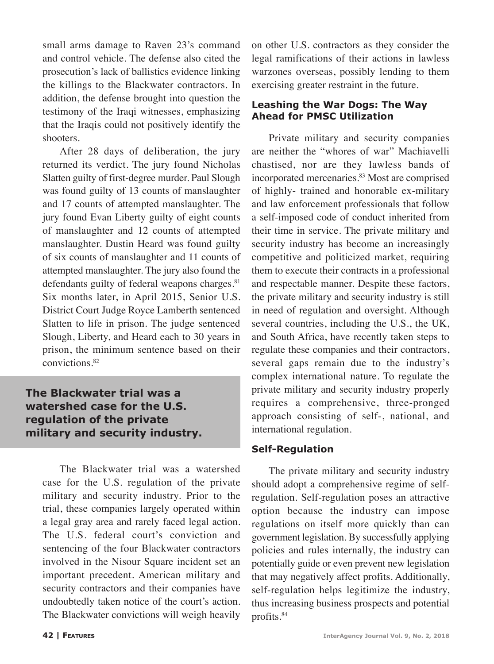small arms damage to Raven 23's command and control vehicle. The defense also cited the prosecution's lack of ballistics evidence linking the killings to the Blackwater contractors. In addition, the defense brought into question the testimony of the Iraqi witnesses, emphasizing that the Iraqis could not positively identify the shooters.

After 28 days of deliberation, the jury returned its verdict. The jury found Nicholas Slatten guilty of first-degree murder. Paul Slough was found guilty of 13 counts of manslaughter and 17 counts of attempted manslaughter. The jury found Evan Liberty guilty of eight counts of manslaughter and 12 counts of attempted manslaughter. Dustin Heard was found guilty of six counts of manslaughter and 11 counts of attempted manslaughter. The jury also found the defendants guilty of federal weapons charges.<sup>81</sup> Six months later, in April 2015, Senior U.S. District Court Judge Royce Lamberth sentenced Slatten to life in prison. The judge sentenced Slough, Liberty, and Heard each to 30 years in prison, the minimum sentence based on their convictions.82

## **The Blackwater trial was a watershed case for the U.S. regulation of the private military and security industry.**

The Blackwater trial was a watershed case for the U.S. regulation of the private military and security industry. Prior to the trial, these companies largely operated within a legal gray area and rarely faced legal action. The U.S. federal court's conviction and sentencing of the four Blackwater contractors involved in the Nisour Square incident set an important precedent. American military and security contractors and their companies have undoubtedly taken notice of the court's action. The Blackwater convictions will weigh heavily

on other U.S. contractors as they consider the legal ramifications of their actions in lawless warzones overseas, possibly lending to them exercising greater restraint in the future.

#### **Leashing the War Dogs: The Way Ahead for PMSC Utilization**

Private military and security companies are neither the "whores of war" Machiavelli chastised, nor are they lawless bands of incorporated mercenaries.<sup>83</sup> Most are comprised of highly- trained and honorable ex-military and law enforcement professionals that follow a self-imposed code of conduct inherited from their time in service. The private military and security industry has become an increasingly competitive and politicized market, requiring them to execute their contracts in a professional and respectable manner. Despite these factors, the private military and security industry is still in need of regulation and oversight. Although several countries, including the U.S., the UK, and South Africa, have recently taken steps to regulate these companies and their contractors, several gaps remain due to the industry's complex international nature. To regulate the private military and security industry properly requires a comprehensive, three-pronged approach consisting of self-, national, and international regulation.

## **Self-Regulation**

The private military and security industry should adopt a comprehensive regime of selfregulation. Self-regulation poses an attractive option because the industry can impose regulations on itself more quickly than can government legislation. By successfully applying policies and rules internally, the industry can potentially guide or even prevent new legislation that may negatively affect profits. Additionally, self-regulation helps legitimize the industry, thus increasing business prospects and potential profits.<sup>84</sup>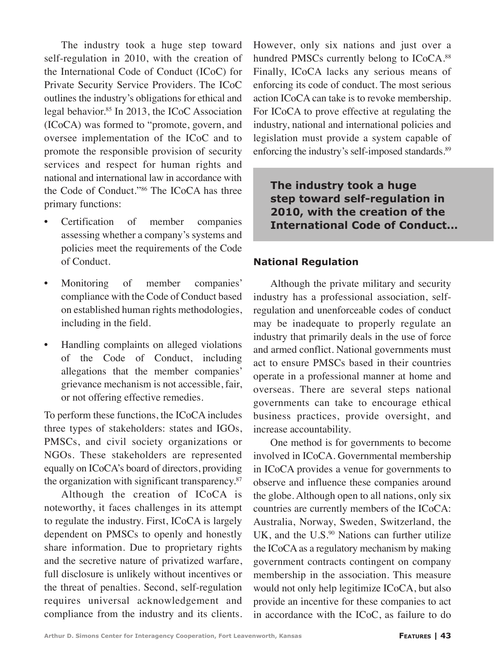The industry took a huge step toward self-regulation in 2010, with the creation of the International Code of Conduct (ICoC) for Private Security Service Providers. The ICoC outlines the industry's obligations for ethical and legal behavior.<sup>85</sup> In 2013, the ICoC Association (ICoCA) was formed to "promote, govern, and oversee implementation of the ICoC and to promote the responsible provision of security services and respect for human rights and national and international law in accordance with the Code of Conduct."86 The ICoCA has three primary functions:

- Certification of member companies assessing whether a company's systems and policies meet the requirements of the Code of Conduct.
- Monitoring of member companies' compliance with the Code of Conduct based on established human rights methodologies, including in the field.
- Handling complaints on alleged violations of the Code of Conduct, including allegations that the member companies' grievance mechanism is not accessible, fair, or not offering effective remedies.

To perform these functions, the ICoCA includes three types of stakeholders: states and IGOs, PMSCs, and civil society organizations or NGOs. These stakeholders are represented equally on ICoCA's board of directors, providing the organization with significant transparency. $87$ 

Although the creation of ICoCA is noteworthy, it faces challenges in its attempt to regulate the industry. First, ICoCA is largely dependent on PMSCs to openly and honestly share information. Due to proprietary rights and the secretive nature of privatized warfare, full disclosure is unlikely without incentives or the threat of penalties. Second, self-regulation requires universal acknowledgement and compliance from the industry and its clients. However, only six nations and just over a hundred PMSCs currently belong to ICoCA.<sup>88</sup> Finally, ICoCA lacks any serious means of enforcing its code of conduct. The most serious action ICoCA can take is to revoke membership. For ICoCA to prove effective at regulating the industry, national and international policies and legislation must provide a system capable of enforcing the industry's self-imposed standards.<sup>89</sup>

**The industry took a huge step toward self-regulation in 2010, with the creation of the International Code of Conduct...**

#### **National Regulation**

Although the private military and security industry has a professional association, selfregulation and unenforceable codes of conduct may be inadequate to properly regulate an industry that primarily deals in the use of force and armed conflict. National governments must act to ensure PMSCs based in their countries operate in a professional manner at home and overseas. There are several steps national governments can take to encourage ethical business practices, provide oversight, and increase accountability.

One method is for governments to become involved in ICoCA. Governmental membership in ICoCA provides a venue for governments to observe and influence these companies around the globe. Although open to all nations, only six countries are currently members of the ICoCA: Australia, Norway, Sweden, Switzerland, the UK, and the  $U.S.^{90}$  Nations can further utilize the ICoCA as a regulatory mechanism by making government contracts contingent on company membership in the association. This measure would not only help legitimize ICoCA, but also provide an incentive for these companies to act in accordance with the ICoC, as failure to do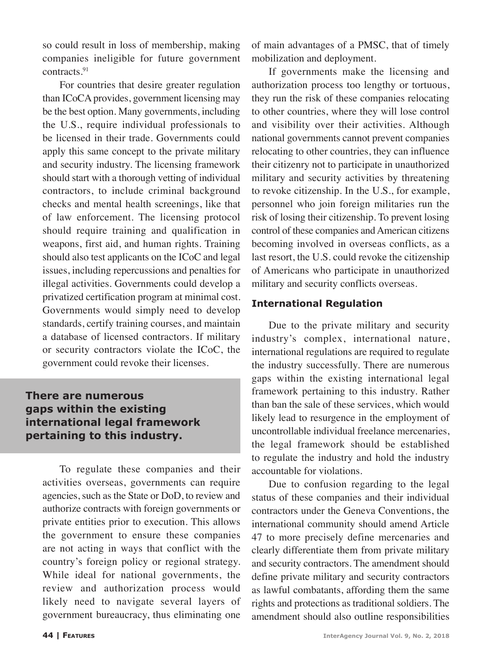so could result in loss of membership, making companies ineligible for future government contracts.91

For countries that desire greater regulation than ICoCA provides, government licensing may be the best option. Many governments, including the U.S., require individual professionals to be licensed in their trade. Governments could apply this same concept to the private military and security industry. The licensing framework should start with a thorough vetting of individual contractors, to include criminal background checks and mental health screenings, like that of law enforcement. The licensing protocol should require training and qualification in weapons, first aid, and human rights. Training should also test applicants on the ICoC and legal issues, including repercussions and penalties for illegal activities. Governments could develop a privatized certification program at minimal cost. Governments would simply need to develop standards, certify training courses, and maintain a database of licensed contractors. If military or security contractors violate the ICoC, the government could revoke their licenses.

## **There are numerous gaps within the existing international legal framework pertaining to this industry.**

To regulate these companies and their activities overseas, governments can require agencies, such as the State or DoD, to review and authorize contracts with foreign governments or private entities prior to execution. This allows the government to ensure these companies are not acting in ways that conflict with the country's foreign policy or regional strategy. While ideal for national governments, the review and authorization process would likely need to navigate several layers of government bureaucracy, thus eliminating one of main advantages of a PMSC, that of timely mobilization and deployment.

If governments make the licensing and authorization process too lengthy or tortuous, they run the risk of these companies relocating to other countries, where they will lose control and visibility over their activities. Although national governments cannot prevent companies relocating to other countries, they can influence their citizenry not to participate in unauthorized military and security activities by threatening to revoke citizenship. In the U.S., for example, personnel who join foreign militaries run the risk of losing their citizenship. To prevent losing control of these companies and American citizens becoming involved in overseas conflicts, as a last resort, the U.S. could revoke the citizenship of Americans who participate in unauthorized military and security conflicts overseas.

#### **International Regulation**

Due to the private military and security industry's complex, international nature, international regulations are required to regulate the industry successfully. There are numerous gaps within the existing international legal framework pertaining to this industry. Rather than ban the sale of these services, which would likely lead to resurgence in the employment of uncontrollable individual freelance mercenaries, the legal framework should be established to regulate the industry and hold the industry accountable for violations.

Due to confusion regarding to the legal status of these companies and their individual contractors under the Geneva Conventions, the international community should amend Article 47 to more precisely define mercenaries and clearly differentiate them from private military and security contractors. The amendment should define private military and security contractors as lawful combatants, affording them the same rights and protections as traditional soldiers. The amendment should also outline responsibilities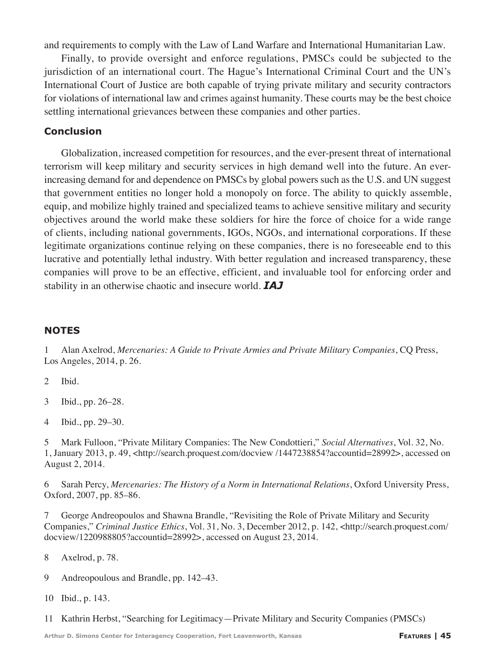and requirements to comply with the Law of Land Warfare and International Humanitarian Law.

Finally, to provide oversight and enforce regulations, PMSCs could be subjected to the jurisdiction of an international court. The Hague's International Criminal Court and the UN's International Court of Justice are both capable of trying private military and security contractors for violations of international law and crimes against humanity. These courts may be the best choice settling international grievances between these companies and other parties.

#### **Conclusion**

Globalization, increased competition for resources, and the ever-present threat of international terrorism will keep military and security services in high demand well into the future. An everincreasing demand for and dependence on PMSCs by global powers such as the U.S. and UN suggest that government entities no longer hold a monopoly on force. The ability to quickly assemble, equip, and mobilize highly trained and specialized teams to achieve sensitive military and security objectives around the world make these soldiers for hire the force of choice for a wide range of clients, including national governments, IGOs, NGOs, and international corporations. If these legitimate organizations continue relying on these companies, there is no foreseeable end to this lucrative and potentially lethal industry. With better regulation and increased transparency, these companies will prove to be an effective, efficient, and invaluable tool for enforcing order and stability in an otherwise chaotic and insecure world. *IAJ*

#### **NOTES**

1 Alan Axelrod, *Mercenaries: A Guide to Private Armies and Private Military Companies*, CQ Press, Los Angeles, 2014, p. 26.

2 Ibid.

- 3 Ibid., pp. 26–28.
- 4 Ibid., pp. 29–30.

5 Mark Fulloon, "Private Military Companies: The New Condottieri," *Social Alternatives*, Vol. 32, No. 1, January 2013, p. 49, <http://search.proquest.com/docview /1447238854?accountid=28992>, accessed on August 2, 2014.

6 Sarah Percy, *Mercenaries: The History of a Norm in International Relations*, Oxford University Press, Oxford, 2007, pp. 85–86.

7 George Andreopoulos and Shawna Brandle, "Revisiting the Role of Private Military and Security Companies," *Criminal Justice Ethics*, Vol. 31, No. 3, December 2012, p. 142, <http://search.proquest.com/ docview/1220988805?accountid=28992>, accessed on August 23, 2014.

8 Axelrod, p. 78.

9 Andreopoulous and Brandle, pp. 142–43.

10 Ibid., p. 143.

11 Kathrin Herbst, "Searching for Legitimacy—Private Military and Security Companies (PMSCs)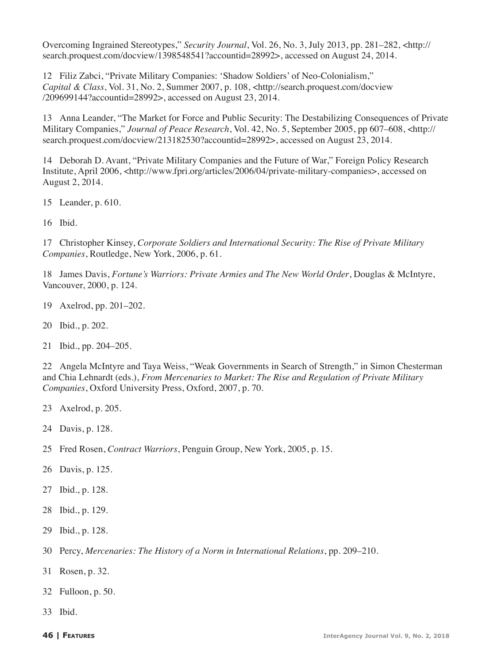Overcoming Ingrained Stereotypes," *Security Journal*, Vol. 26, No. 3, July 2013, pp. 281–282, <http:// search.proquest.com/docview/1398548541?accountid=28992>, accessed on August 24, 2014.

 Filiz Zabci, "Private Military Companies: 'Shadow Soldiers' of Neo-Colonialism," *Capital & Class*, Vol. 31, No. 2, Summer 2007, p. 108, <http://search.proquest.com/docview /209699144?accountid=28992>, accessed on August 23, 2014.

 Anna Leander, "The Market for Force and Public Security: The Destabilizing Consequences of Private Military Companies," *Journal of Peace Research*, Vol. 42, No. 5, September 2005, pp 607–608, <http:// search.proquest.com/docview/213182530?accountid=28992>, accessed on August 23, 2014.

 Deborah D. Avant, "Private Military Companies and the Future of War," Foreign Policy Research Institute, April 2006, <http://www.fpri.org/articles/2006/04/private-military-companies>, accessed on August 2, 2014.

Leander, p. 610.

Ibid.

 Christopher Kinsey, *Corporate Soldiers and International Security: The Rise of Private Military Companies*, Routledge, New York, 2006, p. 61.

 James Davis, *Fortune's Warriors: Private Armies and The New World Order*, Douglas & McIntyre, Vancouver, 2000, p. 124.

- Axelrod, pp. 201–202.
- Ibid., p. 202.
- Ibid., pp. 204–205.

 Angela McIntyre and Taya Weiss, "Weak Governments in Search of Strength," in Simon Chesterman and Chia Lehnardt (eds.), *From Mercenaries to Market: The Rise and Regulation of Private Military Companies*, Oxford University Press, Oxford, 2007, p. 70.

- Axelrod, p. 205.
- Davis, p. 128.
- Fred Rosen, *Contract Warriors*, Penguin Group, New York, 2005, p. 15.
- Davis, p. 125.
- Ibid., p. 128.
- Ibid., p. 129.
- Ibid., p. 128.
- Percy, *Mercenaries: The History of a Norm in International Relations*, pp. 209–210.
- Rosen, p. 32.
- Fulloon, p. 50.
- Ibid.
-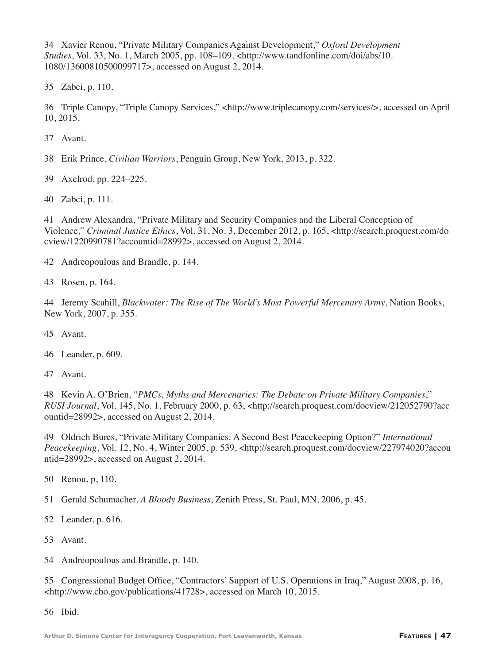Xavier Renou, "Private Military Companies Against Development," *Oxford Development Studies*, Vol. 33, No. 1, March 2005, pp. 108–109, <http://www.tandfonline.com/doi/abs/10. 1080/13600810500099717>, accessed on August 2, 2014.

Zabci, p. 110.

 Triple Canopy, "Triple Canopy Services," <http://www.triplecanopy.com/services/>, accessed on April 10, 2015.

Avant.

Erik Prince, *Civilian Warriors*, Penguin Group, New York, 2013, p. 322.

Axelrod, pp. 224–225.

Zabci, p. 111.

 Andrew Alexandra, "Private Military and Security Companies and the Liberal Conception of Violence," *Criminal Justice Ethics*, Vol. 31, No. 3, December 2012, p. 165, <http://search.proquest.com/do cview/1220990781?accountid=28992>, accessed on August 2, 2014.

Andreopoulous and Brandle, p. 144.

Rosen, p. 164.

 Jeremy Scahill, *Blackwater: The Rise of The World's Most Powerful Mercenary Army*, Nation Books, New York, 2007, p. 355.

Avant.

Leander, p. 609.

Avant.

 Kevin A. O'Brien, "*PMCs, Myths and Mercenaries: The Debate on Private Military Companies*," *RUSI Journal*, Vol. 145, No. 1, February 2000, p. 63, <http://search.proquest.com/docview/212052790?acc ountid=28992>, accessed on August 2, 2014.

 Oldrich Bures, "Private Military Companies: A Second Best Peacekeeping Option?" *International*  Peacekeeping, Vol. 12, No. 4, Winter 2005, p. 539, <http://search.proquest.com/docview/227974020?accou ntid=28992>, accessed on August 2, 2014.

Renou, p, 110.

Gerald Schumacher, *A Bloody Business*, Zenith Press, St. Paul, MN, 2006, p. 45.

Leander, p. 616.

Avant.

Andreopoulous and Brandle, p. 140.

 Congressional Budget Office, "Contractors' Support of U.S. Operations in Iraq," August 2008, p. 16, <http://www.cbo.gov/publications/41728>, accessed on March 10, 2015.

Ibid.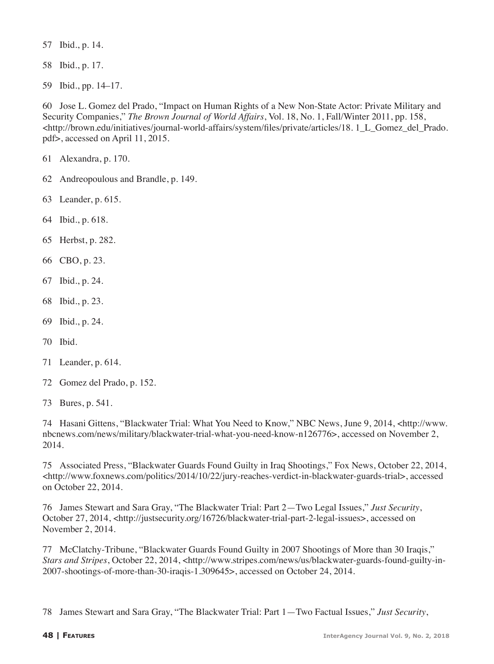Ibid., p. 14.

Ibid., p. 17.

Ibid., pp. 14–17.

 Jose L. Gomez del Prado, "Impact on Human Rights of a New Non-State Actor: Private Military and Security Companies," *The Brown Journal of World Affairs*, Vol. 18, No. 1, Fall/Winter 2011, pp. 158,  $\text{thtn://brown.edu/initiations/journal-world-affairs/system/files/private/articles/18.1 L}$  Gomez del Prado. pdf>, accessed on April 11, 2015.

Alexandra, p. 170.

- Andreopoulous and Brandle, p. 149.
- Leander, p. 615.
- Ibid., p. 618.
- Herbst, p. 282.
- CBO, p. 23.
- Ibid., p. 24.
- Ibid., p. 23.
- Ibid., p. 24.
- Ibid.
- Leander, p. 614.
- Gomez del Prado, p. 152.
- Bures, p. 541.

 Hasani Gittens, "Blackwater Trial: What You Need to Know," NBC News, June 9, 2014, <http://www. nbcnews.com/news/military/blackwater-trial-what-you-need-know-n126776>, accessed on November 2, 2014.

 Associated Press, "Blackwater Guards Found Guilty in Iraq Shootings," Fox News, October 22, 2014, <http://www.foxnews.com/politics/2014/10/22/jury-reaches-verdict-in-blackwater-guards-trial>, accessed on October 22, 2014.

 James Stewart and Sara Gray, "The Blackwater Trial: Part 2—Two Legal Issues," *Just Security*, October 27, 2014, <http://justsecurity.org/16726/blackwater-trial-part-2-legal-issues>, accessed on November 2, 2014.

 McClatchy-Tribune, "Blackwater Guards Found Guilty in 2007 Shootings of More than 30 Iraqis," *Stars and Stripes*, October 22, 2014, <http://www.stripes.com/news/us/blackwater-guards-found-guilty-in-2007-shootings-of-more-than-30-iraqis-1.309645>, accessed on October 24, 2014.

James Stewart and Sara Gray, "The Blackwater Trial: Part 1—Two Factual Issues," *Just Security*,